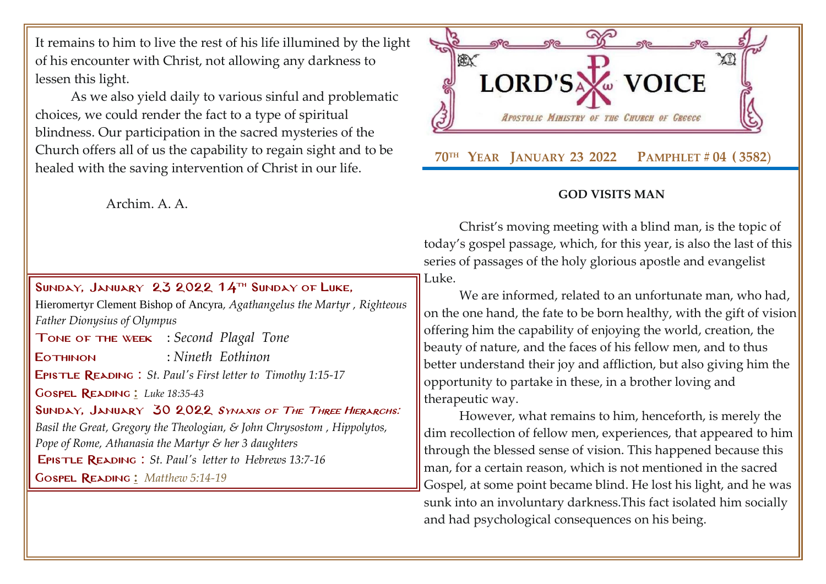It remains to him to live the rest of his life illumined by the light of his encounter with Christ, not allowing any darkness to lessen this light.

As we also yield daily to various sinful and problematic choices, we could render the fact to a type of spiritual blindness. Our participation in the sacred mysteries of the Church offers all of us the capability to regain sight and to be healed with the saving intervention of Christ in our life.

Archim. A. A.

SUNDAY, JANUARY 23 2022  $14$ <sup>TH</sup> SUNDAY OF LUKE, Hieromertyr Clement Bishop of Ancyra*, Agathangelus the Martyr , Righteous Father Dionysius of Olympus* Tone of the week : *Second Plagal Tone* Eothinon : *Nineth Eothinon* Epistle Reading : *[St. Paul's First letter to](http://www.goarch.org/chapel/lectionary?type=E&code=110&event=291&date=11/14/2021) [Timothy](http://www.goarch.org/chapel/lectionary?type=E&code=110&event=291&date=11/14/2021) 1:15-1[7](http://www.goarch.org/chapel/lectionary?type=E&code=110&event=291&date=11/14/2021)* Gospel Reading **[:](http://www.goarch.org/chapel/lectionary?type=G&code=362&event=218)** *[Luke 18:35-43](http://www.goarch.org/chapel/lectionary?type=G&code=245&event=1125)* SUNDAY, JANUARY 30 2022 SYNAXIS OF THE THREE HIERARCHS: *[Basil the Great, Gregory the Theologian, & John Chrysostom](http://www.goarch.org/chapel/saints?contentid=408&PCode=15LS&D=S&date=01/30/2022) , Hippolytos, Pope of Rome, Athanasia the Martyr & her 3 daughters* Epistle Reading : *[St. Paul's letter to](http://www.goarch.org/chapel/lectionary?type=E&code=110&event=291&date=11/14/2021) [Hebrews 13:7-16](http://www.goarch.org/chapel/lectionary?type=E&code=110&event=291&date=11/14/2021)* Gospel Reading **[:](http://www.goarch.org/chapel/lectionary?type=G&code=362&event=218)** *[Matthew 5:14-19](http://www.goarch.org/chapel/lectionary?type=G&code=402&event=408)*



## **GOD VISITS MAN**

Christ's moving meeting with a blind man, is the topic of today's gospel passage, which, for this year, is also the last of this series of passages of the holy glorious apostle and evangelist Luke.

We are informed, related to an unfortunate man, who had, on the one hand, the fate to be born healthy, with the gift of vision offering him the capability of enjoying the world, creation, the beauty of nature, and the faces of his fellow men, and to thus better understand their joy and affliction, but also giving him the opportunity to partake in these, in a brother loving and therapeutic way.

However, what remains to him, henceforth, is merely the dim recollection of fellow men, experiences, that appeared to him through the blessed sense of vision. This happened because this man, for a certain reason, which is not mentioned in the sacred Gospel, at some point became blind. He lost his light, and he was sunk into an involuntary darkness.This fact isolated him socially and had psychological consequences on his being.